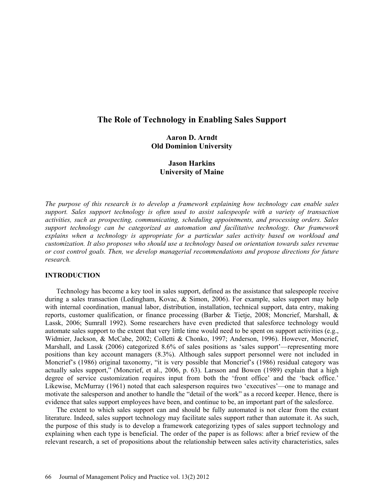# **The Role of Technology in Enabling Sales Support**

# **Aaron D. Arndt Old Dominion University**

# **Jason Harkins University of Maine**

*The purpose of this research is to develop a framework explaining how technology can enable sales support. Sales support technology is often used to assist salespeople with a variety of transaction activities, such as prospecting, communicating, scheduling appointments, and processing orders. Sales support technology can be categorized as automation and facilitative technology. Our framework explains when a technology is appropriate for a particular sales activity based on workload and customization. It also proposes who should use a technology based on orientation towards sales revenue or cost control goals. Then, we develop managerial recommendations and propose directions for future research.*

# **INTRODUCTION**

Technology has become a key tool in sales support, defined as the assistance that salespeople receive during a sales transaction (Ledingham, Kovac, & Simon, 2006). For example, sales support may help with internal coordination, manual labor, distribution, installation, technical support, data entry, making reports, customer qualification, or finance processing (Barber & Tietje, 2008; Moncrief, Marshall, & Lassk, 2006; Sumrall 1992). Some researchers have even predicted that salesforce technology would automate sales support to the extent that very little time would need to be spent on support activities (e.g., Widmier, Jackson, & McCabe, 2002; Colletti & Chonko, 1997; Anderson, 1996). However, Moncrief, Marshall, and Lassk (2006) categorized 8.6% of sales positions as 'sales support'—representing more positions than key account managers (8.3%). Although sales support personnel were not included in Moncrief's (1986) original taxonomy, "it is very possible that Moncrief's (1986) residual category was actually sales support," (Moncrief, et al., 2006, p. 63). Larsson and Bowen (1989) explain that a high degree of service customization requires input from both the 'front office' and the 'back office.' Likewise, McMurray (1961) noted that each salesperson requires two 'executives'—one to manage and motivate the salesperson and another to handle the "detail of the work" as a record keeper. Hence, there is evidence that sales support employees have been, and continue to be, an important part of the salesforce.

The extent to which sales support can and should be fully automated is not clear from the extant literature. Indeed, sales support technology may facilitate sales support rather than automate it. As such, the purpose of this study is to develop a framework categorizing types of sales support technology and explaining when each type is beneficial. The order of the paper is as follows: after a brief review of the relevant research, a set of propositions about the relationship between sales activity characteristics, sales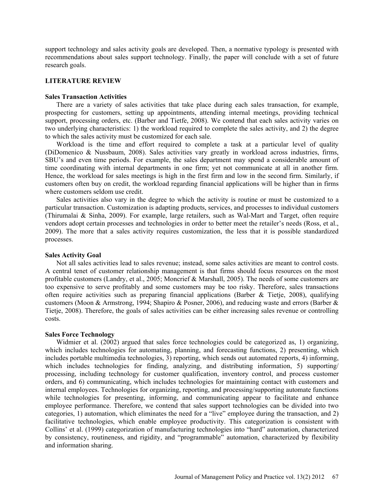support technology and sales activity goals are developed. Then, a normative typology is presented with recommendations about sales support technology. Finally, the paper will conclude with a set of future research goals.

#### **LITERATURE REVIEW**

### **Sales Transaction Activities**

There are a variety of sales activities that take place during each sales transaction, for example, prospecting for customers, setting up appointments, attending internal meetings, providing technical support, processing orders, etc. (Barber and Tietfe, 2008). We contend that each sales activity varies on two underlying characteristics: 1) the workload required to complete the sales activity, and 2) the degree to which the sales activity must be customized for each sale.

Workload is the time and effort required to complete a task at a particular level of quality (DiDomenico & Nussbaum, 2008). Sales activities vary greatly in workload across industries, firms, SBU's and even time periods. For example, the sales department may spend a considerable amount of time coordinating with internal departments in one firm; yet not communicate at all in another firm. Hence, the workload for sales meetings is high in the first firm and low in the second firm. Similarly, if customers often buy on credit, the workload regarding financial applications will be higher than in firms where customers seldom use credit.

Sales activities also vary in the degree to which the activity is routine or must be customized to a particular transaction. Customization is adapting products, services, and processes to individual customers (Thirumalai & Sinha, 2009). For example, large retailers, such as Wal-Mart and Target, often require vendors adopt certain processes and technologies in order to better meet the retailer's needs (Ross, et al., 2009). The more that a sales activity requires customization, the less that it is possible standardized processes.

### **Sales Activity Goal**

Not all sales activities lead to sales revenue; instead, some sales activities are meant to control costs. A central tenet of customer relationship management is that firms should focus resources on the most profitable customers (Landry, et al., 2005; Moncrief & Marshall, 2005). The needs of some customers are too expensive to serve profitably and some customers may be too risky. Therefore, sales transactions often require activities such as preparing financial applications (Barber  $\&$  Tietje, 2008), qualifying customers (Moon & Armstrong, 1994; Shapiro & Posner, 2006), and reducing waste and errors (Barber & Tietje, 2008). Therefore, the goals of sales activities can be either increasing sales revenue or controlling costs.

## **Sales Force Technology**

Widmier et al. (2002) argued that sales force technologies could be categorized as, 1) organizing, which includes technologies for automating, planning, and forecasting functions, 2) presenting, which includes portable multimedia technologies, 3) reporting, which sends out automated reports, 4) informing, which includes technologies for finding, analyzing, and distributing information, 5) supporting/ processing, including technology for customer qualification, inventory control, and process customer orders, and 6) communicating, which includes technologies for maintaining contact with customers and internal employees. Technologies for organizing, reporting, and processing/supporting automate functions while technologies for presenting, informing, and communicating appear to facilitate and enhance employee performance. Therefore, we contend that sales support technologies can be divided into two categories, 1) automation, which eliminates the need for a "live" employee during the transaction, and 2) facilitative technologies, which enable employee productivity. This categorization is consistent with Collins' et al. (1999) categorization of manufacturing technologies into "hard" automation, characterized by consistency, routineness, and rigidity, and "programmable" automation, characterized by flexibility and information sharing.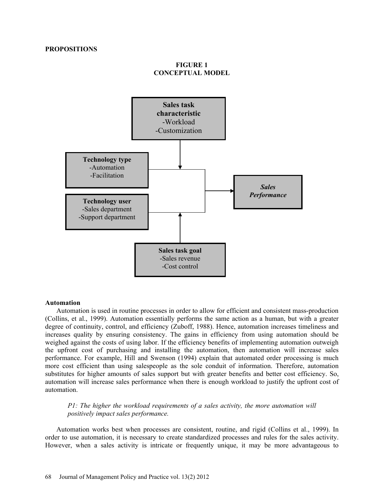# **FIGURE 1 CONCEPTUAL MODEL**



#### **Automation**

Automation is used in routine processes in order to allow for efficient and consistent mass-production (Collins, et al., 1999). Automation essentially performs the same action as a human, but with a greater degree of continuity, control, and efficiency (Zuboff, 1988). Hence, automation increases timeliness and increases quality by ensuring consistency. The gains in efficiency from using automation should be weighed against the costs of using labor. If the efficiency benefits of implementing automation outweigh the upfront cost of purchasing and installing the automation, then automation will increase sales performance. For example, Hill and Swenson (1994) explain that automated order processing is much more cost efficient than using salespeople as the sole conduit of information. Therefore, automation substitutes for higher amounts of sales support but with greater benefits and better cost efficiency. So, automation will increase sales performance when there is enough workload to justify the upfront cost of automation.

### *P1: The higher the workload requirements of a sales activity, the more automation will positively impact sales performance.*

Automation works best when processes are consistent, routine, and rigid (Collins et al., 1999). In order to use automation, it is necessary to create standardized processes and rules for the sales activity. However, when a sales activity is intricate or frequently unique, it may be more advantageous to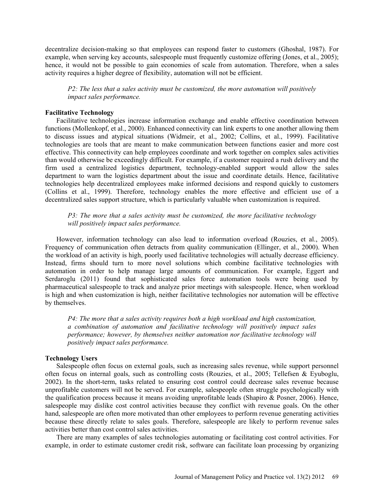decentralize decision-making so that employees can respond faster to customers (Ghoshal, 1987). For example, when serving key accounts, salespeople must frequently customize offering (Jones, et al., 2005); hence, it would not be possible to gain economies of scale from automation. Therefore, when a sales activity requires a higher degree of flexibility, automation will not be efficient.

*P2: The less that a sales activity must be customized, the more automation will positively impact sales performance.*

#### **Facilitative Technology**

Facilitative technologies increase information exchange and enable effective coordination between functions (Mollenkopf, et al., 2000). Enhanced connectivity can link experts to one another allowing them to discuss issues and atypical situations (Widmeir, et al., 2002; Collins, et al., 1999). Facilitative technologies are tools that are meant to make communication between functions easier and more cost effective. This connectivity can help employees coordinate and work together on complex sales activities than would otherwise be exceedingly difficult. For example, if a customer required a rush delivery and the firm used a centralized logistics department, technology-enabled support would allow the sales department to warn the logistics department about the issue and coordinate details. Hence, facilitative technologies help decentralized employees make informed decisions and respond quickly to customers (Collins et al., 1999). Therefore, technology enables the more effective and efficient use of a decentralized sales support structure, which is particularly valuable when customization is required.

*P3: The more that a sales activity must be customized, the more facilitative technology will positively impact sales performance.*

However, information technology can also lead to information overload (Rouzies, et al., 2005). Frequency of communication often detracts from quality communication (Ellinger, et al., 2000). When the workload of an activity is high, poorly used facilitative technologies will actually decrease efficiency. Instead, firms should turn to more novel solutions which combine facilitative technologies with automation in order to help manage large amounts of communication. For example, Eggert and Serdaroglu (2011) found that sophisticated sales force automation tools were being used by pharmaceutical salespeople to track and analyze prior meetings with salespeople. Hence, when workload is high and when customization is high, neither facilitative technologies nor automation will be effective by themselves.

*P4: The more that a sales activity requires both a high workload and high customization, a combination of automation and facilitative technology will positively impact sales performance; however, by themselves neither automation nor facilitative technology will positively impact sales performance.*

#### **Technology Users**

Salespeople often focus on external goals, such as increasing sales revenue, while support personnel often focus on internal goals, such as controlling costs (Rouzies, et al., 2005; Tellefsen & Eyuboglu, 2002). In the short-term, tasks related to ensuring cost control could decrease sales revenue because unprofitable customers will not be served. For example, salespeople often struggle psychologically with the qualification process because it means avoiding unprofitable leads (Shapiro & Posner, 2006). Hence, salespeople may dislike cost control activities because they conflict with revenue goals. On the other hand, salespeople are often more motivated than other employees to perform revenue generating activities because these directly relate to sales goals. Therefore, salespeople are likely to perform revenue sales activities better than cost control sales activities.

There are many examples of sales technologies automating or facilitating cost control activities. For example, in order to estimate customer credit risk, software can facilitate loan processing by organizing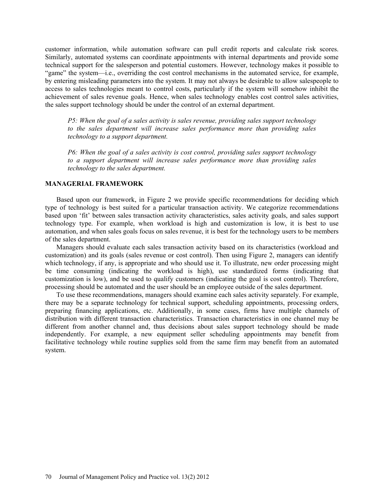customer information, while automation software can pull credit reports and calculate risk scores. Similarly, automated systems can coordinate appointments with internal departments and provide some technical support for the salesperson and potential customers. However, technology makes it possible to "game" the system—i.e., overriding the cost control mechanisms in the automated service, for example, by entering misleading parameters into the system. It may not always be desirable to allow salespeople to access to sales technologies meant to control costs, particularly if the system will somehow inhibit the achievement of sales revenue goals. Hence, when sales technology enables cost control sales activities, the sales support technology should be under the control of an external department.

*P5: When the goal of a sales activity is sales revenue, providing sales support technology to the sales department will increase sales performance more than providing sales technology to a support department.*

*P6: When the goal of a sales activity is cost control, providing sales support technology to a support department will increase sales performance more than providing sales technology to the sales department.*

## **MANAGERIAL FRAMEWORK**

Based upon our framework, in Figure 2 we provide specific recommendations for deciding which type of technology is best suited for a particular transaction activity. We categorize recommendations based upon 'fit' between sales transaction activity characteristics, sales activity goals, and sales support technology type. For example, when workload is high and customization is low, it is best to use automation, and when sales goals focus on sales revenue, it is best for the technology users to be members of the sales department.

Managers should evaluate each sales transaction activity based on its characteristics (workload and customization) and its goals (sales revenue or cost control). Then using Figure 2, managers can identify which technology, if any, is appropriate and who should use it. To illustrate, new order processing might be time consuming (indicating the workload is high), use standardized forms (indicating that customization is low), and be used to qualify customers (indicating the goal is cost control). Therefore, processing should be automated and the user should be an employee outside of the sales department.

To use these recommendations, managers should examine each sales activity separately. For example, there may be a separate technology for technical support, scheduling appointments, processing orders, preparing financing applications, etc. Additionally, in some cases, firms have multiple channels of distribution with different transaction characteristics. Transaction characteristics in one channel may be different from another channel and, thus decisions about sales support technology should be made independently. For example, a new equipment seller scheduling appointments may benefit from facilitative technology while routine supplies sold from the same firm may benefit from an automated system.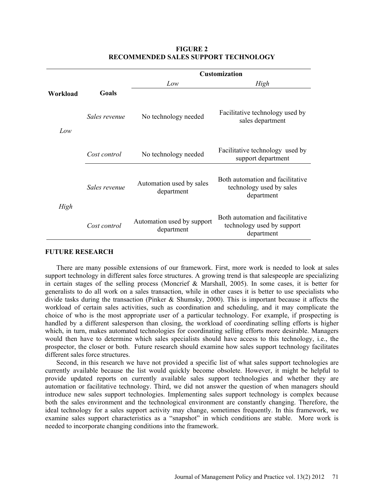|          |               | <b>Customization</b>                     |                                                                              |
|----------|---------------|------------------------------------------|------------------------------------------------------------------------------|
|          |               | Low                                      | High                                                                         |
| Workload | Goals         |                                          |                                                                              |
| Low      | Sales revenue | No technology needed                     | Facilitative technology used by<br>sales department                          |
|          | Cost control  | No technology needed                     | Facilitative technology used by<br>support department                        |
| High     | Sales revenue | Automation used by sales<br>department   | Both automation and facilitative<br>technology used by sales<br>department   |
|          | Cost control  | Automation used by support<br>department | Both automation and facilitative<br>technology used by support<br>department |

# **FIGURE 2 RECOMMENDED SALES SUPPORT TECHNOLOGY**

## **FUTURE RESEARCH**

There are many possible extensions of our framework. First, more work is needed to look at sales support technology in different sales force structures. A growing trend is that salespeople are specializing in certain stages of the selling process (Moncrief & Marshall, 2005). In some cases, it is better for generalists to do all work on a sales transaction, while in other cases it is better to use specialists who divide tasks during the transaction (Pinker & Shumsky, 2000). This is important because it affects the workload of certain sales activities, such as coordination and scheduling, and it may complicate the choice of who is the most appropriate user of a particular technology. For example, if prospecting is handled by a different salesperson than closing, the workload of coordinating selling efforts is higher which, in turn, makes automated technologies for coordinating selling efforts more desirable. Managers would then have to determine which sales specialists should have access to this technology, i.e., the prospector, the closer or both. Future research should examine how sales support technology facilitates different sales force structures.

Second, in this research we have not provided a specific list of what sales support technologies are currently available because the list would quickly become obsolete. However, it might be helpful to provide updated reports on currently available sales support technologies and whether they are automation or facilitative technology. Third, we did not answer the question of when managers should introduce new sales support technologies. Implementing sales support technology is complex because both the sales environment and the technological environment are constantly changing. Therefore, the ideal technology for a sales support activity may change, sometimes frequently. In this framework, we examine sales support characteristics as a "snapshot" in which conditions are stable. More work is needed to incorporate changing conditions into the framework.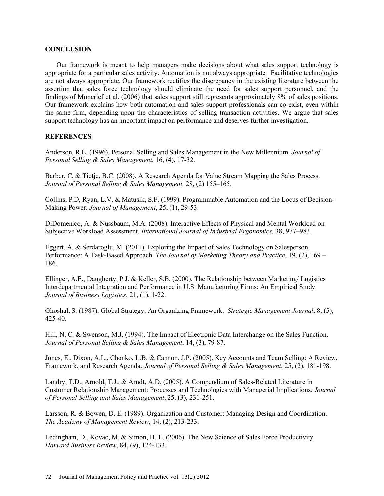### **CONCLUSION**

Our framework is meant to help managers make decisions about what sales support technology is appropriate for a particular sales activity. Automation is not always appropriate. Facilitative technologies are not always appropriate. Our framework rectifies the discrepancy in the existing literature between the assertion that sales force technology should eliminate the need for sales support personnel, and the findings of Moncrief et al. (2006) that sales support still represents approximately 8% of sales positions. Our framework explains how both automation and sales support professionals can co-exist, even within the same firm, depending upon the characteristics of selling transaction activities. We argue that sales support technology has an important impact on performance and deserves further investigation.

# **REFERENCES**

Anderson, R.E. (1996). Personal Selling and Sales Management in the New Millennium. *Journal of Personal Selling & Sales Management*, 16, (4), 17-32.

Barber, C. & Tietje, B.C. (2008). A Research Agenda for Value Stream Mapping the Sales Process. *Journal of Personal Selling & Sales Management*, 28, (2) 155–165.

Collins, P.D, Ryan, L.V. & Matusik, S.F. (1999). Programmable Automation and the Locus of Decision-Making Power. *Journal of Management*, 25, (1), 29-53.

DiDomenico, A. & Nussbaum, M.A. (2008). Interactive Effects of Physical and Mental Workload on Subjective Workload Assessment. *International Journal of Industrial Ergonomics*, 38, 977–983.

Eggert, A. & Serdaroglu, M. (2011). Exploring the Impact of Sales Technology on Salesperson Performance: A Task-Based Approach. *The Journal of Marketing Theory and Practice*, 19, (2), 169 – 186.

Ellinger, A.E., Daugherty, P.J. & Keller, S.B. (2000). The Relationship between Marketing/ Logistics Interdepartmental Integration and Performance in U.S. Manufacturing Firms: An Empirical Study. *Journal of Business Logistics*, 21, (1), 1-22.

Ghoshal, S. (1987). Global Strategy: An Organizing Framework. *Strategic Management Journal*, 8, (5), 425-40.

Hill, N. C. & Swenson, M.J. (1994). The Impact of Electronic Data Interchange on the Sales Function. *Journal of Personal Selling & Sales Management*, 14, (3), 79-87.

Jones, E., Dixon, A.L., Chonko, L.B. & Cannon, J.P. (2005). Key Accounts and Team Selling: A Review, Framework, and Research Agenda. *Journal of Personal Selling & Sales Management*, 25, (2), 181-198.

Landry, T.D., Arnold, T.J., & Arndt, A.D. (2005). A Compendium of Sales-Related Literature in Customer Relationship Management: Processes and Technologies with Managerial Implications. *Journal of Personal Selling and Sales Management*, 25, (3), 231-251.

Larsson, R. & Bowen, D. E. (1989). Organization and Customer: Managing Design and Coordination. *The Academy of Management Review*, 14, (2), 213-233.

Ledingham, D., Kovac, M. & Simon, H. L. (2006). The New Science of Sales Force Productivity. *Harvard Business Review*, 84, (9), 124-133.